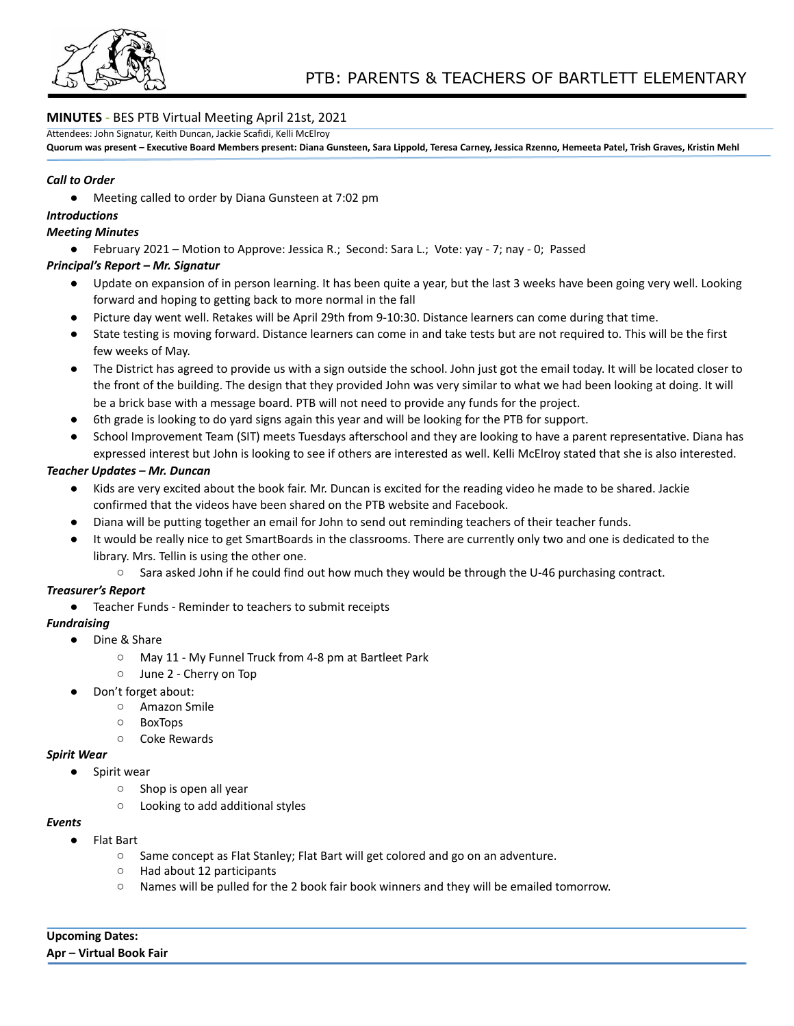

# **MINUTES -** BES PTB Virtual Meeting April 21st, 2021

Attendees: John Signatur, Keith Duncan, Jackie Scafidi, Kelli McElroy

Quorum was present - Executive Board Members present: Diana Gunsteen, Sara Lippold, Teresa Carney, Jessica Rzenno, Hemeeta Patel, Trish Graves, Kristin Mehl

#### *Call to Order*

● Meeting called to order by Diana Gunsteen at 7:02 pm

## *Introductions*

#### *Meeting Minutes*

● February 2021 – Motion to Approve: Jessica R.; Second: Sara L.; Vote: yay - 7; nay - 0; Passed

## *Principal's Report – Mr. Signatur*

- Update on expansion of in person learning. It has been quite a year, but the last 3 weeks have been going very well. Looking forward and hoping to getting back to more normal in the fall
- Picture day went well. Retakes will be April 29th from 9-10:30. Distance learners can come during that time.
- State testing is moving forward. Distance learners can come in and take tests but are not required to. This will be the first few weeks of May.
- The District has agreed to provide us with a sign outside the school. John just got the email today. It will be located closer to the front of the building. The design that they provided John was very similar to what we had been looking at doing. It will be a brick base with a message board. PTB will not need to provide any funds for the project.
- 6th grade is looking to do yard signs again this year and will be looking for the PTB for support.
- School Improvement Team (SIT) meets Tuesdays afterschool and they are looking to have a parent representative. Diana has expressed interest but John is looking to see if others are interested as well. Kelli McElroy stated that she is also interested.

## *Teacher Updates – Mr. Duncan*

- Kids are very excited about the book fair. Mr. Duncan is excited for the reading video he made to be shared. Jackie confirmed that the videos have been shared on the PTB website and Facebook.
- Diana will be putting together an email for John to send out reminding teachers of their teacher funds.
- It would be really nice to get SmartBoards in the classrooms. There are currently only two and one is dedicated to the library. Mrs. Tellin is using the other one.
	- Sara asked John if he could find out how much they would be through the U-46 purchasing contract.

## *Treasurer's Report*

● Teacher Funds - Reminder to teachers to submit receipts

## *Fundraising*

- *●* Dine & Share
	- *○* May 11 My Funnel Truck from 4-8 pm at Bartleet Park
	- *○* June 2 Cherry on Top
- Don't forget about:
	- Amazon Smile
	- BoxTops
	- Coke Rewards

## *Spirit Wear*

- *●* Spirit wear
	- *○* Shop is open all year
	- *○* Looking to add additional styles

## *Events*

- *●* Flat Bart
	- Same concept as Flat Stanley; Flat Bart will get colored and go on an adventure.
	- Had about 12 participants
	- Names will be pulled for the 2 book fair book winners and they will be emailed tomorrow.

**Upcoming Dates: Apr – Virtual Book Fair**